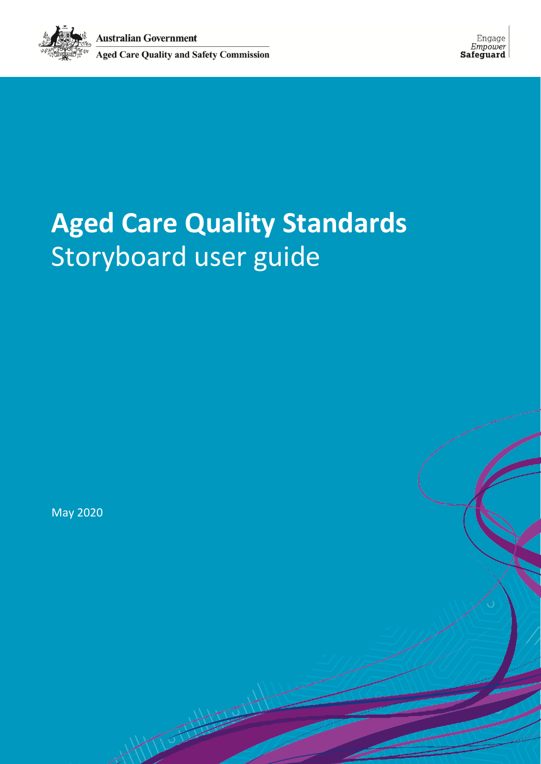

# **Aged Care Quality Standards** Storyboard user guide

May 2020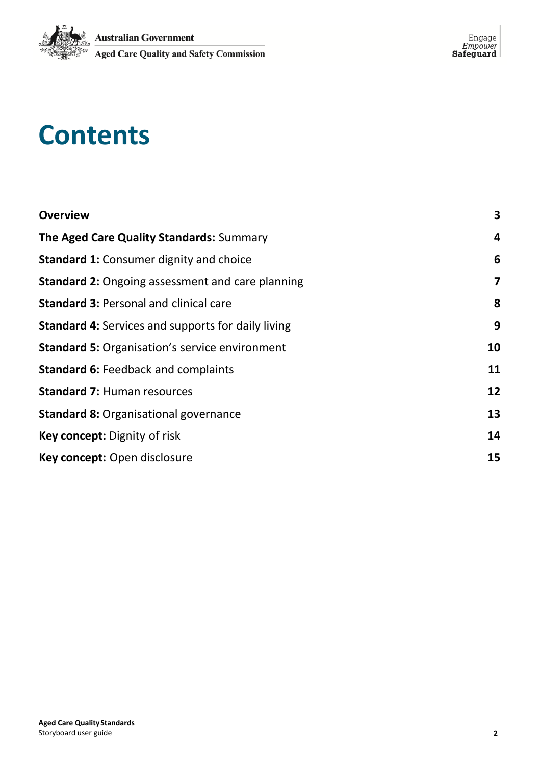

# **Contents**

| <b>Overview</b>                                           | 3                       |
|-----------------------------------------------------------|-------------------------|
| The Aged Care Quality Standards: Summary                  | $\overline{\mathbf{4}}$ |
| <b>Standard 1: Consumer dignity and choice</b>            | 6                       |
| <b>Standard 2: Ongoing assessment and care planning</b>   | 7                       |
| <b>Standard 3: Personal and clinical care</b>             | 8                       |
| <b>Standard 4: Services and supports for daily living</b> | 9                       |
| <b>Standard 5: Organisation's service environment</b>     | 10                      |
| <b>Standard 6: Feedback and complaints</b>                | 11                      |
| <b>Standard 7: Human resources</b>                        | 12                      |
| <b>Standard 8: Organisational governance</b>              | 13                      |
| Key concept: Dignity of risk                              | 14                      |
| Key concept: Open disclosure                              | 15                      |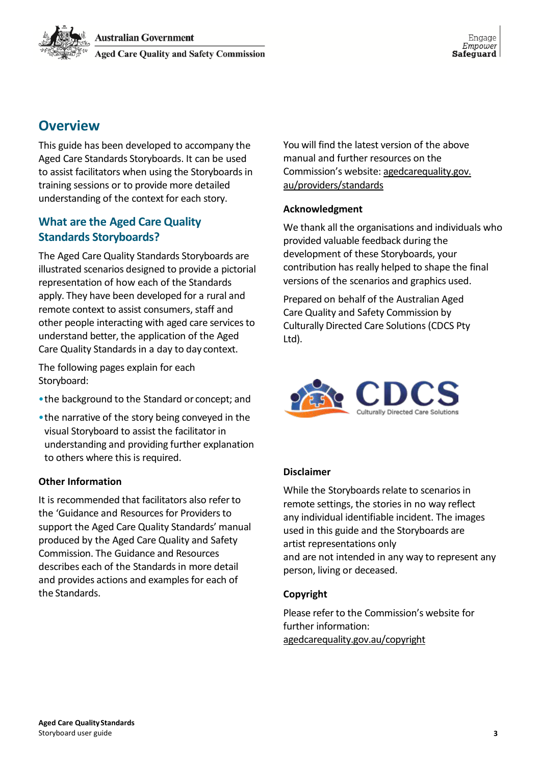Engage Empower Safeguard

# <span id="page-2-0"></span>**Overview**

This guide has been developed to accompany the Aged Care Standards Storyboards. It can be used to assist facilitators when using the Storyboards in training sessions or to provide more detailed understanding of the context for each story.

# **What are the Aged Care Quality Standards Storyboards?**

The Aged Care Quality Standards Storyboards are illustrated scenarios designed to provide a pictorial representation of how each of the Standards apply. They have been developed for a rural and remote context to assist consumers, staff and other people interacting with aged care services to understand better, the application of the Aged Care Quality Standards in a day to day context.

The following pages explain for each Storyboard:

- •the background to the Standard or concept; and
- •the narrative of the story being conveyed in the visual Storyboard to assist the facilitator in understanding and providing further explanation to others where this is required.

### **Other Information**

It is recommended that facilitators also refer to the 'Guidance and Resources for Providers to support the Aged Care Quality Standards' manual produced by the Aged Care Quality and Safety Commission. The Guidance and Resources describes each of the Standards in more detail and provides actions and examples for each of the Standards.

You will find the latest version of the above manual and further resources on the Commission's [website: agedcarequality.gov.](http://www.agedcarequality.gov.au/providers/standards) [au/providers/standards](http://www.agedcarequality.gov.au/providers/standards)

### **Acknowledgment**

We thank all the organisations and individuals who provided valuable feedback during the development of these Storyboards, your contribution has really helped to shape the final versions of the scenarios and graphics used.

Prepared on behalf of the Australian Aged Care Quality and Safety Commission by Culturally Directed Care Solutions (CDCS Pty Ltd).



### **Disclaimer**

While the Storyboards relate to scenarios in remote settings, the stories in no way reflect any individual identifiable incident. The images used in this guide and the Storyboards are artist representations only and are not intended in any way to represent any person, living or deceased.

### **Copyright**

Please refer to the Commission's website for [further information:](http://www.agedcarequality.gov.au/copyright) agedcarequality.gov.au/copyright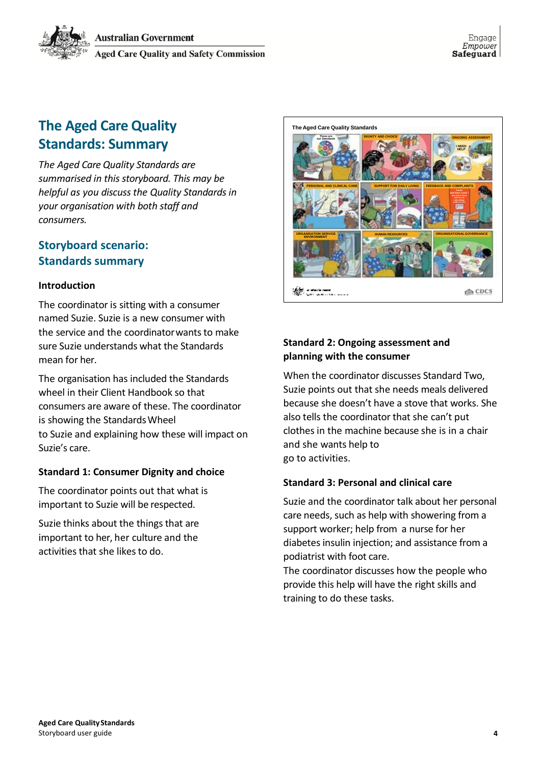# <span id="page-3-0"></span>**The Aged Care Quality Standards: Summary**

*The Aged Care Quality Standards are summarised in this storyboard. This may be helpful as you discuss the Quality Standards in your organisation with both staff and consumers.*

### **Storyboard scenario: Standards summary**

### **Introduction**

The coordinator is sitting with a consumer named Suzie. Suzie is a new consumer with the service and the coordinatorwants to make sure Suzie understands what the Standards mean for her.

The organisation has included the Standards wheel in their Client Handbook so that consumers are aware of these. The coordinator is showing the StandardsWheel to Suzie and explaining how these will impact on Suzie's care.

### <span id="page-3-1"></span>**Standard 1: Consumer Dignity and choice**

The coordinator points out that what is important to Suzie will be respected.

Suzie thinks about the things that are important to her, her culture and the activities that she likes to do.



### **Standard 2: Ongoing assessment and planning with the consumer**

When the coordinator discusses Standard Two, Suzie points out that she needs meals delivered because she doesn't have a stove that works. She also tells the coordinator that she can't put clothes in the machine because she is in a chair and she wants help to go to activities.

### <span id="page-3-2"></span>**Standard 3: Personal and clinical care**

Suzie and the coordinator talk about her personal care needs, such as help with showering from a support worker; help from a nurse for her diabetes insulin injection; and assistance from a podiatrist with foot care.

The coordinator discusses how the people who provide this help will have the right skills and training to do these tasks.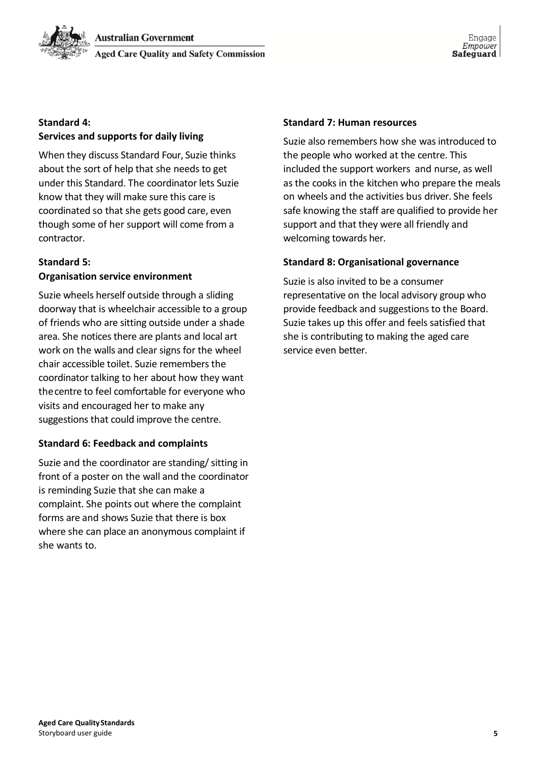

#### **Standard 4:**

#### **Services and supports for daily living**

When they discuss Standard Four, Suzie thinks about the sort of help that she needs to get under this Standard. The coordinator lets Suzie know that they will make sure this care is coordinated so that she gets good care, even though some of her support will come from a contractor.

#### **Standard 5:**

#### **Organisation service environment**

Suzie wheels herself outside through a sliding doorway that is wheelchair accessible to a group of friends who are sitting outside under a shade area. She notices there are plants and local art work on the walls and clear signs for the wheel chair accessible toilet. Suzie remembers the coordinator talking to her about how they want thecentre to feel comfortable for everyone who visits and encouraged her to make any suggestions that could improve the centre.

#### <span id="page-4-0"></span>**Standard 6: Feedback and complaints**

<span id="page-4-1"></span>Suzie and the coordinator are standing/ sitting in front of a poster on the wall and the coordinator is reminding Suzie that she can make a complaint. She points out where the complaint forms are and shows Suzie that there is box where she can place an anonymous complaint if she wants to.

#### **Standard 7: Human resources**

Suzie also remembers how she was introduced to the people who worked at the centre. This included the support workers and nurse, as well as the cooks in the kitchen who prepare the meals on wheels and the activities bus driver. She feels safe knowing the staff are qualified to provide her support and that they were all friendly and welcoming towards her.

#### <span id="page-4-2"></span>**Standard 8: Organisational governance**

Suzie is also invited to be a consumer representative on the local advisory group who provide feedback and suggestions to the Board. Suzie takes up this offer and feels satisfied that she is contributing to making the aged care service even better.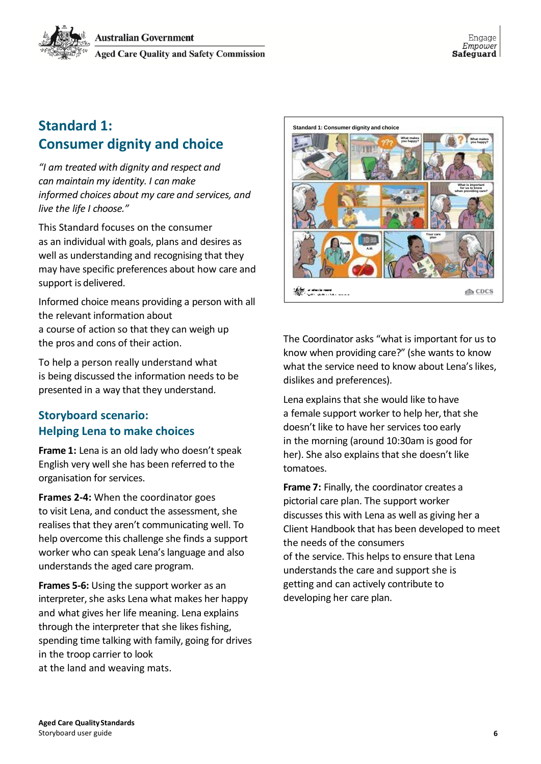# **Standard 1: Consumer dignity and choice**

*"I am treated with dignity and respect and can maintain my identity. I can make informed choices about my care and services, and live the life I choose."*

This Standard focuses on the consumer as an individual with goals, plans and desires as well as understanding and recognising that they may have specific preferences about how care and support is delivered.

Informed choice means providing a person with all the relevant information about a course of action so that they can weigh up the pros and cons of their action.

To help a person really understand what is being discussed the information needs to be presented in a way that they understand.

# **Storyboard scenario: Helping Lena to make choices**

**Frame 1:** Lena is an old lady who doesn't speak English very well she has been referred to the organisation for services.

**Frames 2-4:** When the coordinator goes to visit Lena, and conduct the assessment, she realises that they aren't communicating well. To help overcome this challenge she finds a support worker who can speak Lena's language and also understands the aged care program.

**Frames 5-6:** Using the support worker as an interpreter, she asks Lena what makes her happy and what gives her life meaning. Lena explains through the interpreter that she likes fishing, spending time talking with family, going for drives in the troop carrier to look at the land and weaving mats.



The Coordinator asks "what is important for us to know when providing care?" (she wants to know what the service need to know about Lena's likes, dislikes and preferences).

Lena explains that she would like to have a female support worker to help her, that she doesn't like to have her services too early in the morning (around 10:30am is good for her). She also explains that she doesn't like tomatoes.

**Frame 7:** Finally, the coordinator creates a pictorial care plan. The support worker discusses this with Lena as well as giving her a Client Handbook that has been developed to meet the needs of the consumers of the service. This helps to ensure that Lena understands the care and support she is getting and can actively contribute to developing her care plan.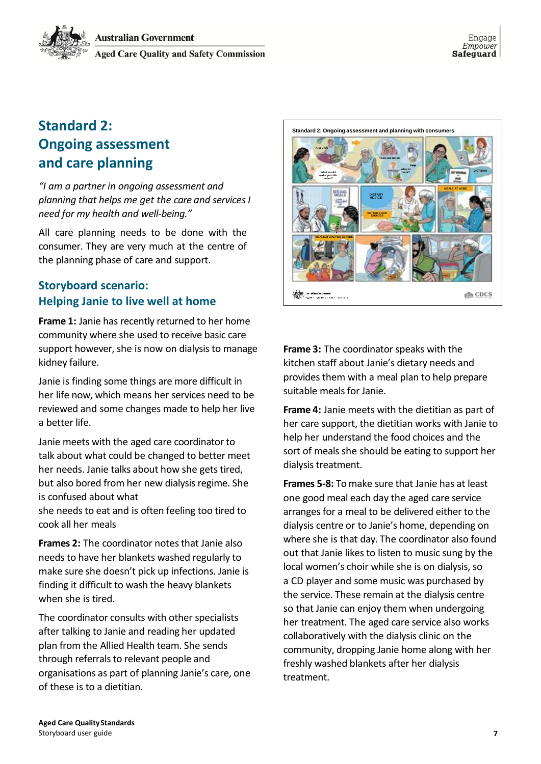

# **Standard 2: Ongoing assessment and care planning**

*"I am a partner in ongoing assessment and planning that helps me get the care and services I need for my health and well-being."*

All care planning needs to be done with the consumer. They are very much at the centre of the planning phase of care and support.

## **Storyboard scenario: Helping Janie to live well at home**

**Frame 1:** Janie has recently returned to her home community where she used to receive basic care support however, she is now on dialysis to manage kidney failure.

Janie is finding some things are more difficult in her life now, which means her services need to be reviewed and some changes made to help her live a better life.

Janie meets with the aged care coordinator to talk about what could be changed to better meet her needs. Janie talks about how she gets tired, but also bored from her new dialysis regime. She is confused about what

she needs to eat and is often feeling too tired to cook all her meals

**Frames 2:** The coordinator notes that Janie also needs to have her blankets washed regularly to make sure she doesn't pick up infections. Janie is finding it difficult to wash the heavy blankets when she is tired.

The coordinator consults with other specialists after talking to Janie and reading her updated plan from the Allied Health team. She sends through referrals to relevant people and organisations as part of planning Janie's care, one of these is to a dietitian.



**Frame 3:** The coordinator speaks with the kitchen staff about Janie's dietary needs and provides them with a meal plan to help prepare suitable meals for Janie.

**Frame 4:** Janie meets with the dietitian as part of her care support, the dietitian works with Janie to help her understand the food choices and the sort of meals she should be eating to support her dialysis treatment.

**Frames 5-8:** To make sure that Janie has at least one good meal each day the aged care service arranges for a meal to be delivered either to the dialysis centre or to Janie's home, depending on where she is that day. The coordinator also found out that Janie likes to listen to music sung by the local women's choir while she is on dialysis, so a CD player and some music was purchased by the service. These remain at the dialysis centre so that Janie can enjoy them when undergoing her treatment. The aged care service also works collaboratively with the dialysis clinic on the community, dropping Janie home along with her freshly washed blankets after her dialysis treatment.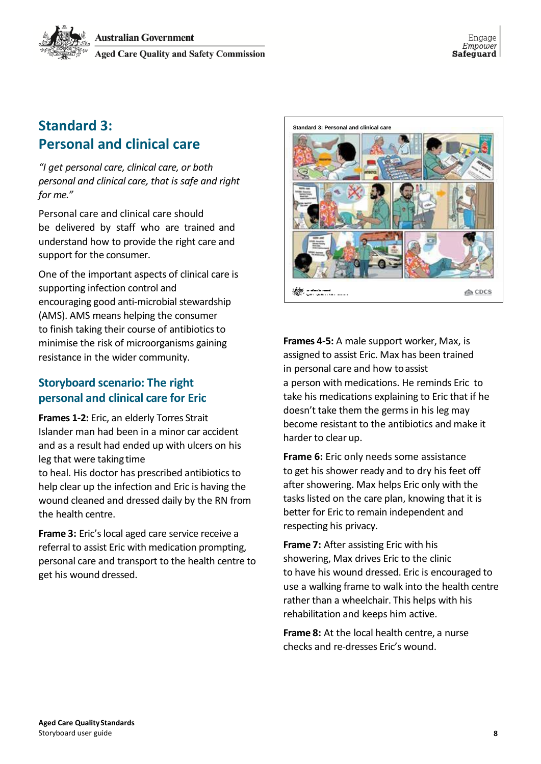# **Standard 3: Personal and clinical care**

*"I get personal care, clinical care, or both personal and clinical care, that is safe and right for me."*

Personal care and clinical care should be delivered by staff who are trained and understand how to provide the right care and support for the consumer.

One of the important aspects of clinical care is supporting infection control and encouraging good anti-microbial stewardship (AMS). AMS means helping the consumer to finish taking their course of antibiotics to minimise the risk of microorganisms gaining resistance in the wider community.

# **Storyboard scenario: The right personal and clinical care for Eric**

**Frames 1-2:** Eric, an elderly Torres Strait Islander man had been in a minor car accident and as a result had ended up with ulcers on his leg that were taking time

to heal. His doctor has prescribed antibiotics to help clear up the infection and Eric is having the wound cleaned and dressed daily by the RN from the health centre.

**Frame 3:** Eric's local aged care service receive a referral to assist Eric with medication prompting, personal care and transport to the health centre to get his wound dressed.



**Frames 4-5:** A male support worker, Max, is assigned to assist Eric. Max has been trained in personal care and how toassist a person with medications. He reminds Eric to take his medications explaining to Eric that if he doesn't take them the germs in his leg may become resistant to the antibiotics and make it harder to clear up.

**Frame 6:** Eric only needs some assistance to get his shower ready and to dry his feet off after showering. Max helps Eric only with the tasks listed on the care plan, knowing that it is better for Eric to remain independent and respecting his privacy.

**Frame 7:** After assisting Eric with his showering, Max drives Eric to the clinic to have his wound dressed. Eric is encouraged to use a walking frame to walk into the health centre rather than a wheelchair. This helps with his rehabilitation and keeps him active.

**Frame 8:** At the local health centre, a nurse checks and re-dresses Eric's wound.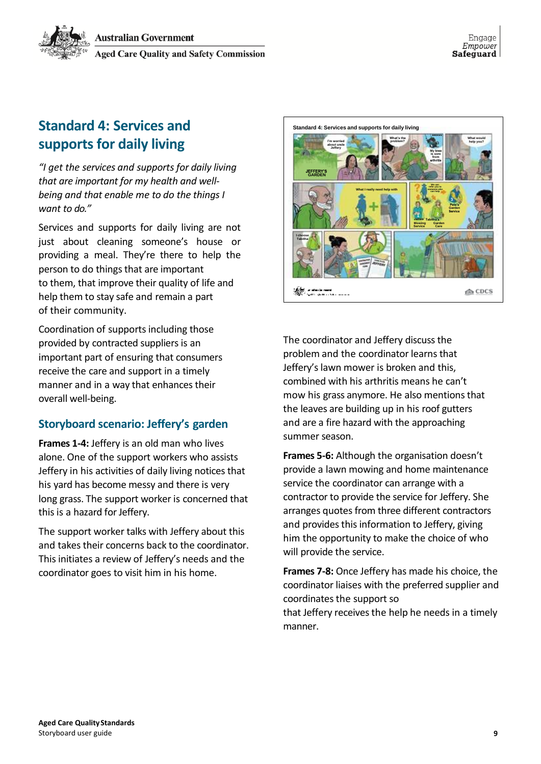# <span id="page-8-0"></span>**Standard 4: Services and supports for daily living**

*"I get the services and supports for daily living that are important for my health and wellbeing and that enable me to do the things I want to do."*

Services and supports for daily living are not just about cleaning someone's house or providing a meal. They're there to help the person to do things that are important to them, that improve their quality of life and help them to stay safe and remain a part of their community.

Coordination of supports including those provided by contracted suppliers is an important part of ensuring that consumers receive the care and support in a timely manner and in a way that enhances their overall well-being.

## **Storyboard scenario: Jeffery's garden**

**Frames 1-4:** Jeffery is an old man who lives alone. One of the support workers who assists Jeffery in his activities of daily living notices that his yard has become messy and there is very long grass. The support worker is concerned that this is a hazard for Jeffery.

The support worker talks with Jeffery about this and takes their concerns back to the coordinator. This initiates a review of Jeffery's needs and the coordinator goes to visit him in his home.



The coordinator and Jeffery discuss the problem and the coordinator learns that Jeffery's lawn mower is broken and this, combined with his arthritis means he can't mow his grass anymore. He also mentions that the leaves are building up in his roof gutters and are a fire hazard with the approaching summer season.

**Frames 5-6:** Although the organisation doesn't provide a lawn mowing and home maintenance service the coordinator can arrange with a contractor to provide the service for Jeffery. She arranges quotes from three different contractors and provides this information to Jeffery, giving him the opportunity to make the choice of who will provide the service.

**Frames 7-8:** Once Jeffery has made his choice, the coordinator liaises with the preferred supplier and coordinates the support so that Jeffery receives the help he needs in a timely manner.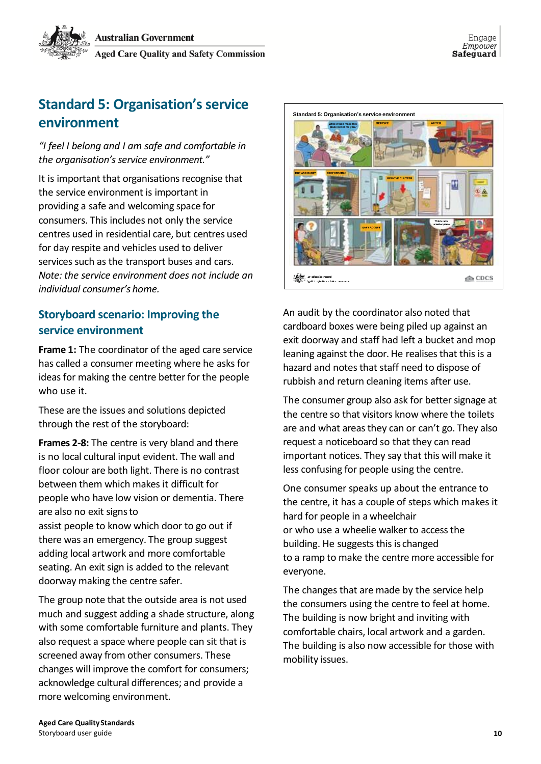

# <span id="page-9-0"></span>**Standard 5: Organisation's service environment**

*"I feel I belong and I am safe and comfortable in the organisation's service environment."*

It is important that organisations recognise that the service environment is important in providing a safe and welcoming space for consumers. This includes not only the service centres used in residential care, but centres used for day respite and vehicles used to deliver services such as the transport buses and cars. *Note: the service environment does not include an individual consumer's home.*

### **Storyboard scenario: Improving the service environment**

**Frame 1:** The coordinator of the aged care service has called a consumer meeting where he asks for ideas for making the centre better for the people who use it.

These are the issues and solutions depicted through the rest of the storyboard:

**Frames 2-8:** The centre is very bland and there is no local cultural input evident. The wall and floor colour are both light. There is no contrast between them which makes it difficult for people who have low vision or dementia. There are also no exit signsto

assist people to know which door to go out if there was an emergency. The group suggest adding local artwork and more comfortable seating. An exit sign is added to the relevant doorway making the centre safer.

The group note that the outside area is not used much and suggest adding a shade structure, along with some comfortable furniture and plants. They also request a space where people can sit that is screened away from other consumers. These changes will improve the comfort for consumers; acknowledge cultural differences; and provide a more welcoming environment.



An audit by the coordinator also noted that cardboard boxes were being piled up against an exit doorway and staff had left a bucket and mop leaning against the door. He realises that this is a hazard and notes that staff need to dispose of rubbish and return cleaning items after use.

The consumer group also ask for better signage at the centre so that visitors know where the toilets are and what areas they can or can't go. They also request a noticeboard so that they can read important notices. They say that this will make it less confusing for people using the centre.

One consumer speaks up about the entrance to the centre, it has a couple of steps which makes it hard for people in a wheelchair or who use a wheelie walker to access the building. He suggests this is changed to a ramp to make the centre more accessible for everyone.

The changes that are made by the service help the consumers using the centre to feel at home. The building is now bright and inviting with comfortable chairs, local artwork and a garden. The building is also now accessible for those with mobility issues.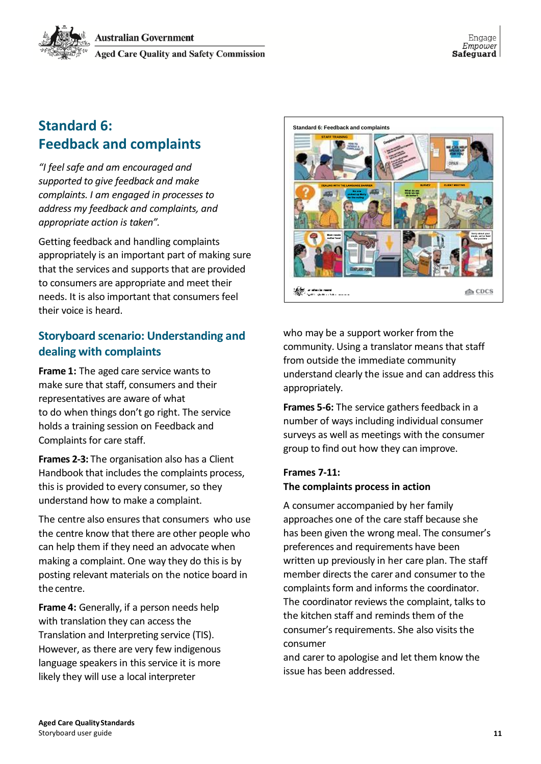# **Standard 6: Feedback and complaints**

*"I feel safe and am encouraged and supported to give feedback and make complaints. I am engaged in processes to address my feedback and complaints, and appropriate action is taken".*

Getting feedback and handling complaints appropriately is an important part of making sure that the services and supports that are provided to consumers are appropriate and meet their needs. It is also important that consumers feel their voice is heard.

# **Storyboard scenario: Understanding and dealing with complaints**

**Frame 1:** The aged care service wants to make sure that staff, consumers and their representatives are aware of what to do when things don't go right. The service holds a training session on Feedback and Complaints for care staff.

**Frames 2-3:** The organisation also has a Client Handbook that includes the complaints process, this is provided to every consumer, so they understand how to make a complaint.

The centre also ensures that consumers who use the centre know that there are other people who can help them if they need an advocate when making a complaint. One way they do this is by posting relevant materials on the notice board in the centre.

**Frame 4:** Generally, if a person needs help with translation they can access the Translation and Interpreting service (TIS). However, as there are very few indigenous language speakers in this service it is more likely they will use a local interpreter



who may be a support worker from the community. Using a translator means that staff from outside the immediate community understand clearly the issue and can address this appropriately.

**Frames 5-6:** The service gathers feedback in a number of ways including individual consumer surveys as well as meetings with the consumer group to find out how they can improve.

#### **Frames 7-11: The complaints process in action**

A consumer accompanied by her family approaches one of the care staff because she has been given the wrong meal. The consumer's preferences and requirements have been written up previously in her care plan. The staff member directs the carer and consumer to the complaints form and informs the coordinator. The coordinator reviews the complaint, talks to the kitchen staff and reminds them of the consumer's requirements. She also visits the consumer

and carer to apologise and let them know the issue has been addressed.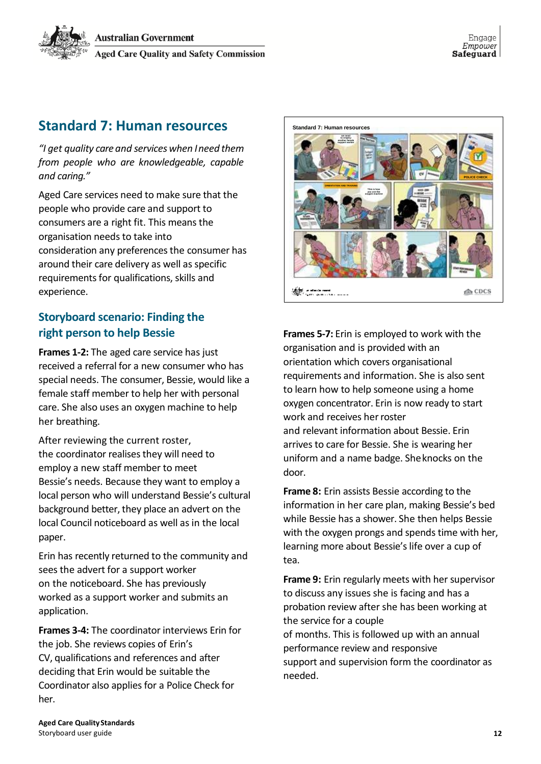

# **Standard 7: Human resources**

*"I get quality care and services when Ineed them from people who are knowledgeable, capable and caring."*

Aged Care services need to make sure that the people who provide care and support to consumers are a right fit. This means the organisation needs to take into consideration any preferences the consumer has around their care delivery as well as specific requirements for qualifications, skills and experience.

## **Storyboard scenario: Finding the right person to help Bessie**

**Frames 1-2:** The aged care service has just received a referral for a new consumer who has special needs. The consumer, Bessie, would like a female staff member to help her with personal care. She also uses an oxygen machine to help her breathing.

After reviewing the current roster, the coordinator realises they will need to employ a new staff member to meet Bessie's needs. Because they want to employ a local person who will understand Bessie's cultural background better, they place an advert on the local Council noticeboard as well as in the local paper.

Erin has recently returned to the community and sees the advert for a support worker on the noticeboard. She has previously worked as a support worker and submits an application.

**Frames 3-4:** The coordinator interviews Erin for the job. She reviews copies of Erin's CV, qualifications and references and after deciding that Erin would be suitable the Coordinator also applies for a Police Check for her.



**Frames 5-7:** Erin is employed to work with the organisation and is provided with an orientation which covers organisational requirements and information. She is also sent to learn how to help someone using a home oxygen concentrator. Erin is now ready to start work and receives her roster and relevant information about Bessie. Erin arrives to care for Bessie. She is wearing her uniform and a name badge. Sheknocks on the door.

**Frame 8:** Erin assists Bessie according to the information in her care plan, making Bessie's bed while Bessie has a shower. She then helps Bessie with the oxygen prongs and spends time with her, learning more about Bessie's life over a cup of tea.

**Frame 9:** Erin regularly meets with her supervisor to discuss any issues she is facing and has a probation review after she has been working at the service for a couple of months. This is followed up with an annual performance review and responsive support and supervision form the coordinator as needed.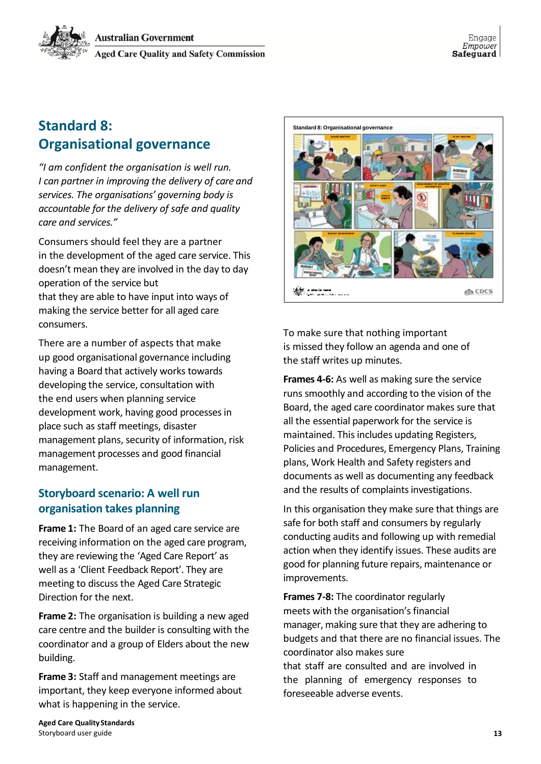# **Standard 8: Organisational governance**

*"I am confident the organisation is well run. I can partner in improving the delivery of care and services. The organisations' governing body is accountable for the delivery of safe and quality care and services."*

Consumers should feel they are a partner in the development of the aged care service. This doesn't mean they are involved in the day to day operation of the service but that they are able to have input into ways of making the service better for all aged care consumers.

There are a number of aspects that make up good organisational governance including having a Board that actively works towards developing the service, consultation with the end users when planning service development work, having good processes in place such as staff meetings, disaster management plans, security of information, risk management processes and good financial management.

### **Storyboard scenario: A well run organisation takes planning**

**Frame 1:** The Board of an aged care service are receiving information on the aged care program, they are reviewing the 'Aged Care Report' as well as a 'Client Feedback Report'. They are meeting to discuss the Aged Care Strategic Direction for the next.

**Frame 2:** The organisation is building a new aged care centre and the builder is consulting with the coordinator and a group of Elders about the new building.

**Frame 3:** Staff and management meetings are important, they keep everyone informed about what is happening in the service.



To make sure that nothing important is missed they follow an agenda and one of the staff writes up minutes.

**Frames 4-6:** As well as making sure the service runs smoothly and according to the vision of the Board, the aged care coordinator makes sure that all the essential paperwork for the service is maintained. This includes updating Registers, Policies and Procedures, Emergency Plans, Training plans, Work Health and Safety registers and documents as well as documenting any feedback and the results of complaints investigations.

In this organisation they make sure that things are safe for both staff and consumers by regularly conducting audits and following up with remedial action when they identify issues. These audits are good for planning future repairs, maintenance or improvements.

**Frames 7-8:** The coordinator regularly meets with the organisation's financial manager, making sure that they are adhering to budgets and that there are no financial issues. The coordinator also makes sure that staff are consulted and are involved in the planning of emergency responses to foreseeable adverse events.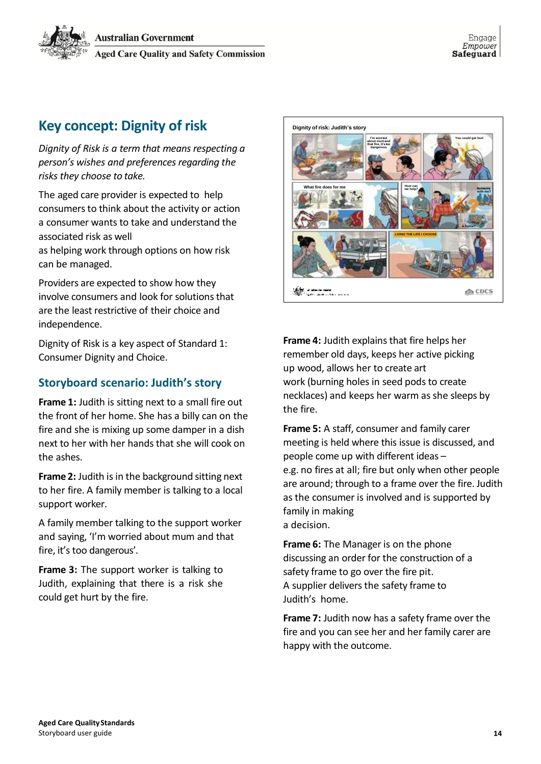

# <span id="page-13-0"></span>**Key concept: Dignity of risk**

*Dignity of Risk is a term that means respecting a person's wishes and preferences regarding the risks they choose to take.*

The aged care provider is expected to help consumers to think about the activity or action a consumer wants to take and understand the associated risk as well

as helping work through options on how risk can be managed.

Providers are expected to show how they involve consumers and look for solutions that are the least restrictive of their choice and independence.

Dignity of Risk is a key aspect of Standard 1: Consumer Dignity and Choice.

### **Storyboard scenario: Judith's story**

**Frame 1:** Judith is sitting next to a small fire out the front of her home. She has a billy can on the fire and she is mixing up some damper in a dish next to her with her hands that she will cook on the ashes.

**Frame 2:** Judith is in the background sitting next to her fire. A family member is talking to a local support worker.

A family member talking to the support worker and saying, 'I'm worried about mum and that fire, it's too dangerous'.

**Frame 3:** The support worker is talking to Judith, explaining that there is a risk she could get hurt by the fire.



**Frame 4:** Judith explains that fire helps her remember old days, keeps her active picking up wood, allows her to create art work (burning holes in seed pods to create necklaces) and keeps her warm as she sleeps by the fire.

**Frame 5:** A staff, consumer and family carer meeting is held where this issue is discussed, and people come up with different ideas – e.g. no fires at all; fire but only when other people are around; through to a frame over the fire. Judith as the consumer is involved and is supported by family in making a decision.

**Frame 6:** The Manager is on the phone discussing an order for the construction of a safety frame to go over the fire pit. A supplier delivers the safety frame to Judith's home.

**Frame 7:** Judith now has a safety frame over the fire and you can see her and her family carer are happy with the outcome.